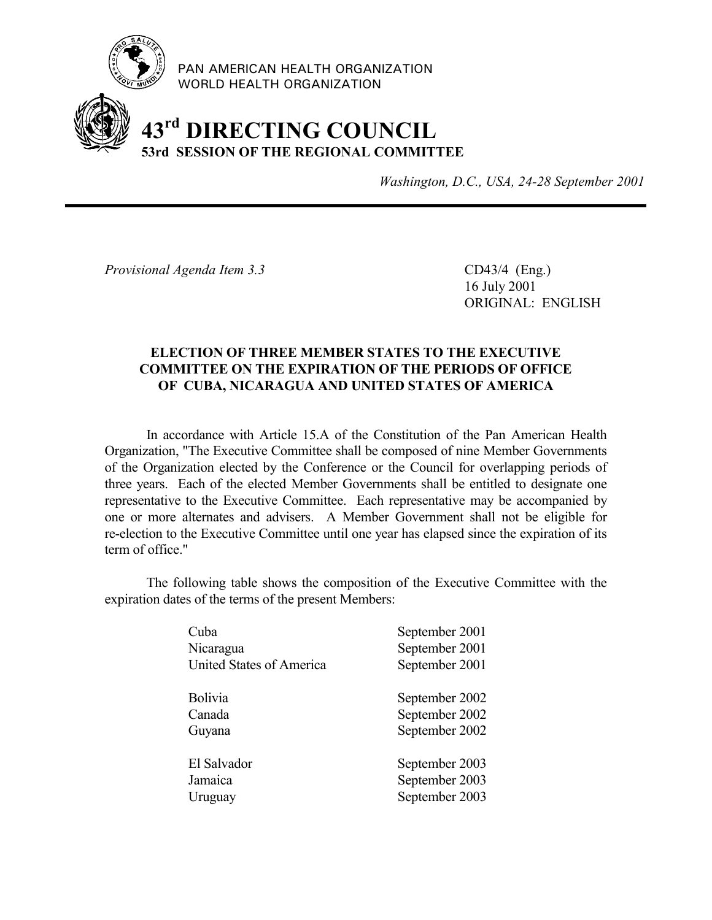

PAN AMERICAN HEALTH ORGANIZATION WORLD HEALTH ORGANIZATION

## **43rd DIRECTING COUNCIL 53rd SESSION OF THE REGIONAL COMMITTEE**

*Washington, D.C., USA, 24-28 September 2001*

*Provisional Agenda Item 3.3* CD43/4 (Eng.)

16 July 2001 ORIGINAL: ENGLISH

## **ELECTION OF THREE MEMBER STATES TO THE EXECUTIVE COMMITTEE ON THE EXPIRATION OF THE PERIODS OF OFFICE OF CUBA, NICARAGUA AND UNITED STATES OF AMERICA**

In accordance with Article 15.A of the Constitution of the Pan American Health Organization, "The Executive Committee shall be composed of nine Member Governments of the Organization elected by the Conference or the Council for overlapping periods of three years. Each of the elected Member Governments shall be entitled to designate one representative to the Executive Committee. Each representative may be accompanied by one or more alternates and advisers. A Member Government shall not be eligible for re-election to the Executive Committee until one year has elapsed since the expiration of its term of office."

The following table shows the composition of the Executive Committee with the expiration dates of the terms of the present Members:

| Cuba                     | September 2001 |
|--------------------------|----------------|
| Nicaragua                | September 2001 |
| United States of America | September 2001 |
|                          |                |
| <b>Bolivia</b>           | September 2002 |
| Canada                   | September 2002 |
| Guyana                   | September 2002 |
|                          |                |
| El Salvador              | September 2003 |
| Jamaica                  | September 2003 |
| Uruguay                  | September 2003 |
|                          |                |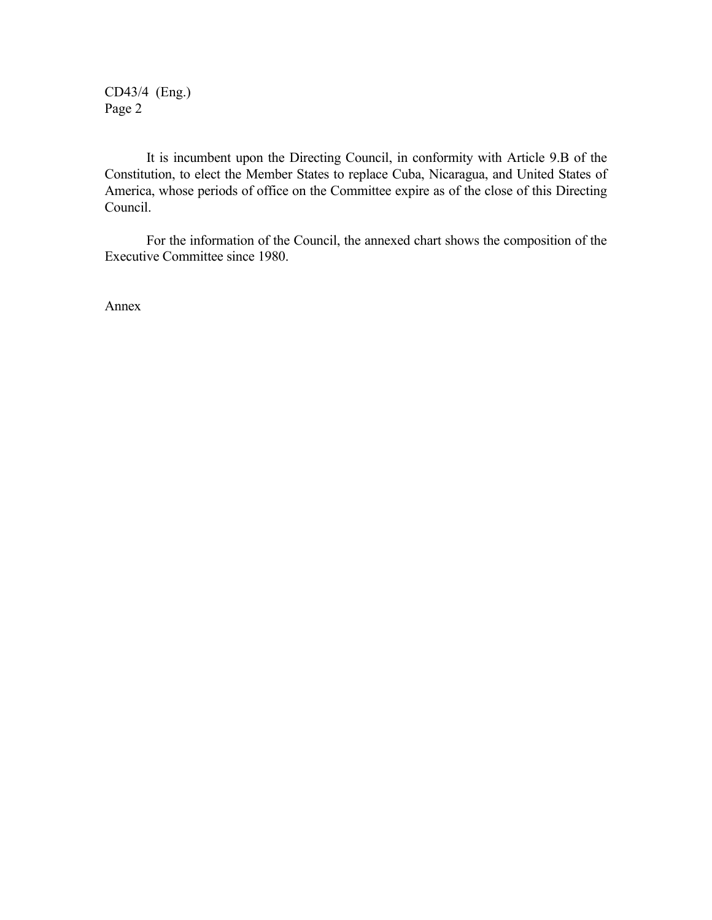CD43/4 (Eng.) Page 2

It is incumbent upon the Directing Council, in conformity with Article 9.B of the Constitution, to elect the Member States to replace Cuba, Nicaragua, and United States of America, whose periods of office on the Committee expire as of the close of this Directing Council.

For the information of the Council, the annexed chart shows the composition of the Executive Committee since 1980.

Annex